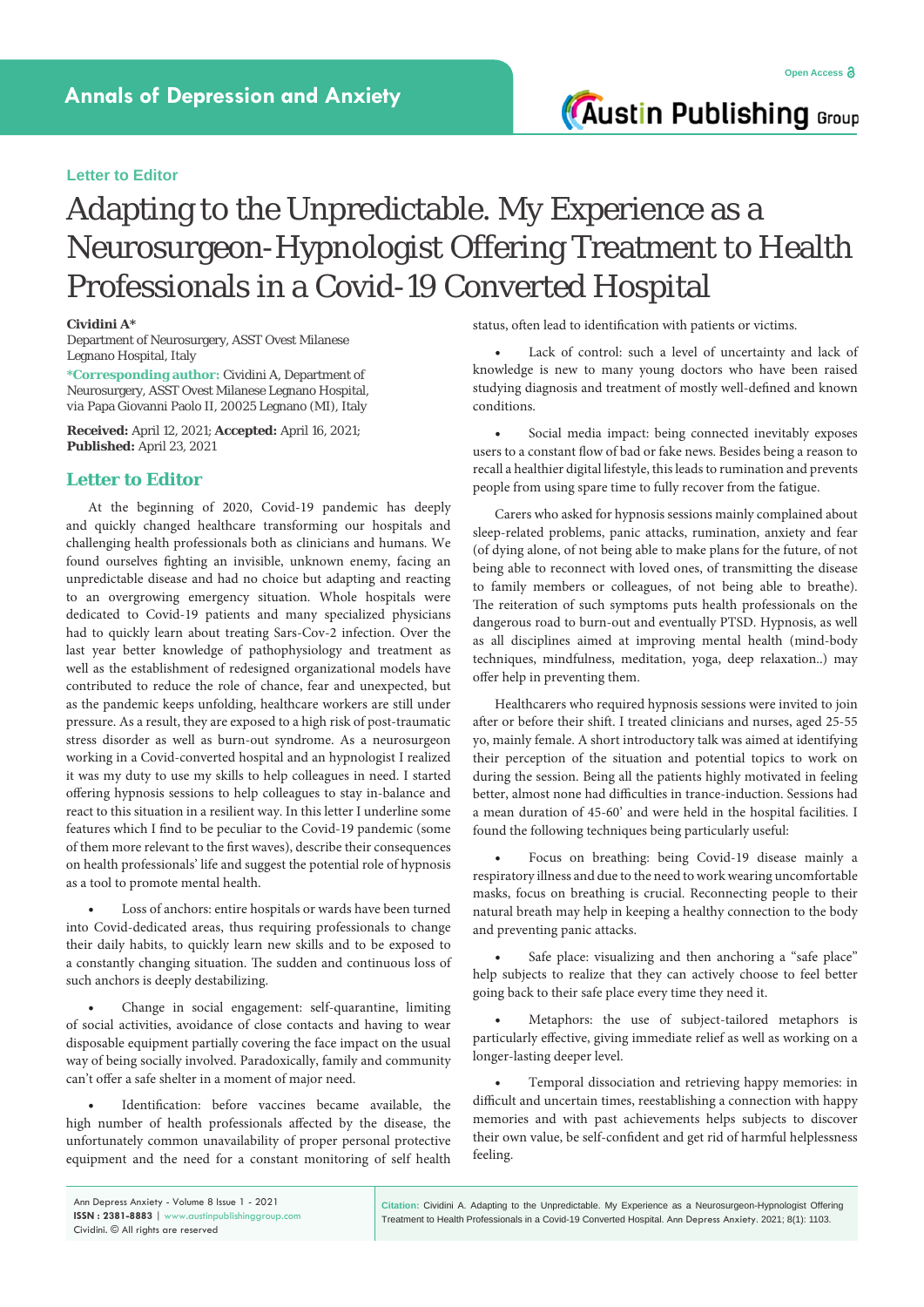## **Letter to Editor**

## Adapting to the Unpredictable. My Experience as a Neurosurgeon-Hypnologist Offering Treatment to Health Professionals in a Covid-19 Converted Hospital

## **Cividini A\***

Department of Neurosurgery, ASST Ovest Milanese Legnano Hospital, Italy

**\*Corresponding author:** Cividini A, Department of Neurosurgery, ASST Ovest Milanese Legnano Hospital, *via* Papa Giovanni Paolo II, 20025 Legnano (MI), Italy

**Received:** April 12, 2021; **Accepted:** April 16, 2021; **Published:** April 23, 2021

## **Letter to Editor**

At the beginning of 2020, Covid-19 pandemic has deeply and quickly changed healthcare transforming our hospitals and challenging health professionals both as clinicians and humans. We found ourselves fighting an invisible, unknown enemy, facing an unpredictable disease and had no choice but adapting and reacting to an overgrowing emergency situation. Whole hospitals were dedicated to Covid-19 patients and many specialized physicians had to quickly learn about treating Sars-Cov-2 infection. Over the last year better knowledge of pathophysiology and treatment as well as the establishment of redesigned organizational models have contributed to reduce the role of chance, fear and unexpected, but as the pandemic keeps unfolding, healthcare workers are still under pressure. As a result, they are exposed to a high risk of post-traumatic stress disorder as well as burn-out syndrome. As a neurosurgeon working in a Covid-converted hospital and an hypnologist I realized it was my duty to use my skills to help colleagues in need. I started offering hypnosis sessions to help colleagues to stay in-balance and react to this situation in a resilient way. In this letter I underline some features which I find to be peculiar to the Covid-19 pandemic (some of them more relevant to the first waves), describe their consequences on health professionals' life and suggest the potential role of hypnosis as a tool to promote mental health.

Loss of anchors: entire hospitals or wards have been turned into Covid-dedicated areas, thus requiring professionals to change their daily habits, to quickly learn new skills and to be exposed to a constantly changing situation. The sudden and continuous loss of such anchors is deeply destabilizing.

Change in social engagement: self-quarantine, limiting of social activities, avoidance of close contacts and having to wear disposable equipment partially covering the face impact on the usual way of being socially involved. Paradoxically, family and community can't offer a safe shelter in a moment of major need.

Identification: before vaccines became available, the high number of health professionals affected by the disease, the unfortunately common unavailability of proper personal protective equipment and the need for a constant monitoring of self health status, often lead to identification with patients or victims.

Lack of control: such a level of uncertainty and lack of knowledge is new to many young doctors who have been raised studying diagnosis and treatment of mostly well-defined and known conditions.

**Austin Publishing Group** 

Social media impact: being connected inevitably exposes users to a constant flow of bad or fake news. Besides being a reason to recall a healthier digital lifestyle, this leads to rumination and prevents people from using spare time to fully recover from the fatigue.

Carers who asked for hypnosis sessions mainly complained about sleep-related problems, panic attacks, rumination, anxiety and fear (of dying alone, of not being able to make plans for the future, of not being able to reconnect with loved ones, of transmitting the disease to family members or colleagues, of not being able to breathe). The reiteration of such symptoms puts health professionals on the dangerous road to burn-out and eventually PTSD. Hypnosis, as well as all disciplines aimed at improving mental health (mind-body techniques, mindfulness, meditation, yoga, deep relaxation..) may offer help in preventing them.

Healthcarers who required hypnosis sessions were invited to join after or before their shift. I treated clinicians and nurses, aged 25-55 yo, mainly female. A short introductory talk was aimed at identifying their perception of the situation and potential topics to work on during the session. Being all the patients highly motivated in feeling better, almost none had difficulties in trance-induction. Sessions had a mean duration of 45-60' and were held in the hospital facilities. I found the following techniques being particularly useful:

Focus on breathing: being Covid-19 disease mainly a respiratory illness and due to the need to work wearing uncomfortable masks, focus on breathing is crucial. Reconnecting people to their natural breath may help in keeping a healthy connection to the body and preventing panic attacks.

Safe place: visualizing and then anchoring a "safe place" help subjects to realize that they can actively choose to feel better going back to their safe place every time they need it.

Metaphors: the use of subject-tailored metaphors is particularly effective, giving immediate relief as well as working on a longer-lasting deeper level.

Temporal dissociation and retrieving happy memories: in difficult and uncertain times, reestablishing a connection with happy memories and with past achievements helps subjects to discover their own value, be self-confident and get rid of harmful helplessness feeling.